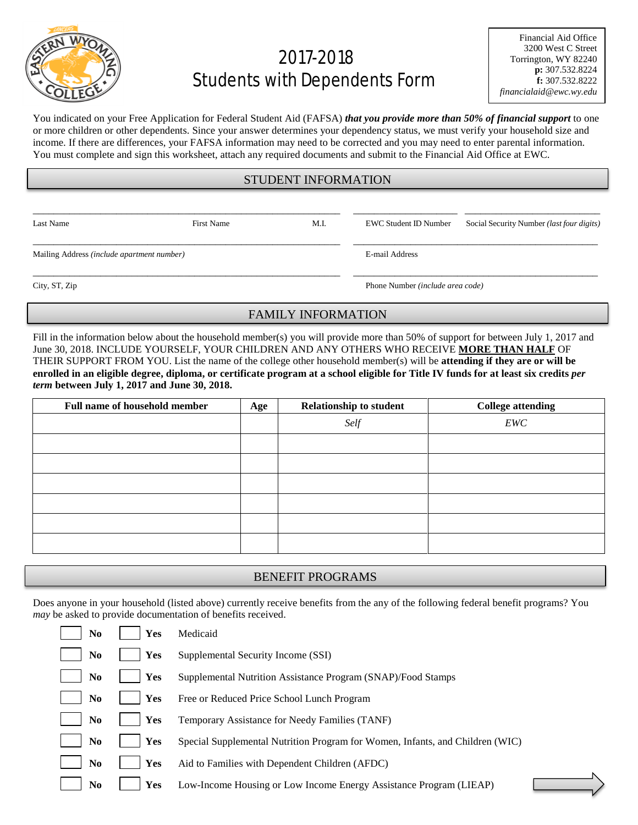

# 2017-2018 Students with Dependents Form

You indicated on your Free Application for Federal Student Aid (FAFSA) *that you provide more than 50% of financial support* to one or more children or other dependents. Since your answer determines your dependency status, we must verify your household size and income. If there are differences, your FAFSA information may need to be corrected and you may need to enter parental information. You must complete and sign this worksheet, attach any required documents and submit to the Financial Aid Office at EWC.

#### STUDENT INFORMATION

\_\_\_\_\_\_\_\_\_\_\_\_\_\_\_\_\_\_\_\_\_\_\_\_\_\_\_\_\_\_\_\_\_\_\_\_\_\_\_\_\_\_\_\_\_\_\_\_\_\_\_\_\_\_\_\_\_\_\_ \_\_\_\_\_\_\_\_\_\_\_\_\_\_\_\_\_\_\_\_ \_\_\_\_\_\_\_\_\_\_\_\_\_\_\_\_\_\_\_\_\_\_\_\_\_\_

\_\_\_\_\_\_\_\_\_\_\_\_\_\_\_\_\_\_\_\_\_\_\_\_\_\_\_\_\_\_\_\_\_\_\_\_\_\_\_\_\_\_\_\_\_\_\_\_\_\_\_\_\_\_\_\_\_\_\_ \_\_\_\_\_\_\_\_\_\_\_\_\_\_\_\_\_\_\_\_\_\_\_\_\_\_\_\_\_\_\_\_\_\_\_\_\_\_\_\_\_\_\_\_\_\_\_

Last Name First Name First Name M.I. EWC Student ID Number Social Security Number *(last four digits)* 

Mailing Address *(include apartment number)* E-mail Address

City, ST, Zip Phone Number *(include area code)*

## FAMILY INFORMATION

\_\_\_\_\_\_\_\_\_\_\_\_\_\_\_\_\_\_\_\_\_\_\_\_\_\_\_\_\_\_\_\_\_\_\_\_\_\_\_\_\_\_\_\_\_\_\_\_\_\_\_\_\_\_\_\_\_\_\_ \_\_\_\_\_\_\_\_\_\_\_\_\_\_\_\_\_\_\_\_\_\_\_\_\_\_\_\_\_\_\_\_\_\_\_\_\_\_\_\_\_\_\_\_\_\_\_

Fill in the information below about the household member(s) you will provide more than 50% of support for between July 1, 2017 and June 30, 2018. INCLUDE YOURSELF, YOUR CHILDREN AND ANY OTHERS WHO RECEIVE **MORE THAN HALF** OF THEIR SUPPORT FROM YOU. List the name of the college other household member(s) will be **attending if they are or will be enrolled in an eligible degree, diploma, or certificate program at a school eligible for Title IV funds for at least six credits** *per term* **between July 1, 2017 and June 30, 2018.**

| <b>Full name of household member</b> | Age | <b>Relationship to student</b> | <b>College attending</b> |
|--------------------------------------|-----|--------------------------------|--------------------------|
|                                      |     | Self                           | EWC                      |
|                                      |     |                                |                          |
|                                      |     |                                |                          |
|                                      |     |                                |                          |
|                                      |     |                                |                          |
|                                      |     |                                |                          |
|                                      |     |                                |                          |

### BENEFIT PROGRAMS

Does anyone in your household (listed above) currently receive benefits from the any of the following federal benefit programs? You *may* be asked to provide documentation of benefits received.

| No             | Yes        | Medicaid                                                                      |
|----------------|------------|-------------------------------------------------------------------------------|
| No             | Yes        | Supplemental Security Income (SSI)                                            |
| N <sub>0</sub> | <b>Yes</b> | Supplemental Nutrition Assistance Program (SNAP)/Food Stamps                  |
| No             | Yes        | Free or Reduced Price School Lunch Program                                    |
| No             | Yes        | Temporary Assistance for Needy Families (TANF)                                |
| N <sub>0</sub> | Yes        | Special Supplemental Nutrition Program for Women, Infants, and Children (WIC) |
| No             | Yes        | Aid to Families with Dependent Children (AFDC)                                |
| No             | Yes        | Low-Income Housing or Low Income Energy Assistance Program (LIEAP)            |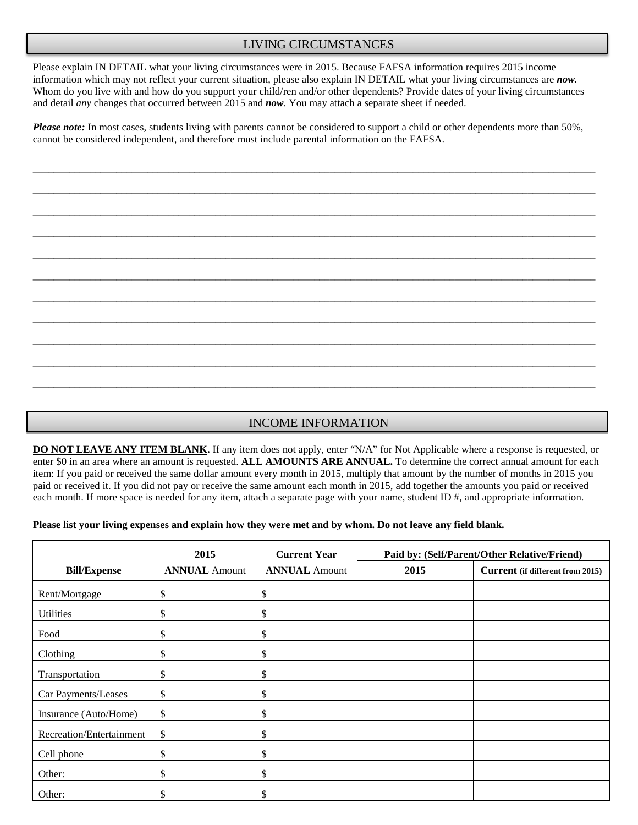### LIVING CIRCUMSTANCES

Please explain IN DETAIL what your living circumstances were in 2015. Because FAFSA information requires 2015 income information which may not reflect your current situation, please also explain IN DETAIL what your living circumstances are *now.*  Whom do you live with and how do you support your child/ren and/or other dependents? Provide dates of your living circumstances and detail *any* changes that occurred between 2015 and *now*. You may attach a separate sheet if needed.

*Please note:* In most cases, students living with parents cannot be considered to support a child or other dependents more than 50%, cannot be considered independent, and therefore must include parental information on the FAFSA.

\_\_\_\_\_\_\_\_\_\_\_\_\_\_\_\_\_\_\_\_\_\_\_\_\_\_\_\_\_\_\_\_\_\_\_\_\_\_\_\_\_\_\_\_\_\_\_\_\_\_\_\_\_\_\_\_\_\_\_\_\_\_\_\_\_\_\_\_\_\_\_\_\_\_\_\_\_\_\_\_\_\_\_\_\_\_\_\_\_\_\_\_\_\_\_\_\_\_\_\_\_\_\_\_\_\_\_\_

\_\_\_\_\_\_\_\_\_\_\_\_\_\_\_\_\_\_\_\_\_\_\_\_\_\_\_\_\_\_\_\_\_\_\_\_\_\_\_\_\_\_\_\_\_\_\_\_\_\_\_\_\_\_\_\_\_\_\_\_\_\_\_\_\_\_\_\_\_\_\_\_\_\_\_\_\_\_\_\_\_\_\_\_\_\_\_\_\_\_\_\_\_\_\_\_\_\_\_\_\_\_\_\_\_\_\_\_

\_\_\_\_\_\_\_\_\_\_\_\_\_\_\_\_\_\_\_\_\_\_\_\_\_\_\_\_\_\_\_\_\_\_\_\_\_\_\_\_\_\_\_\_\_\_\_\_\_\_\_\_\_\_\_\_\_\_\_\_\_\_\_\_\_\_\_\_\_\_\_\_\_\_\_\_\_\_\_\_\_\_\_\_\_\_\_\_\_\_\_\_\_\_\_\_\_\_\_\_\_\_\_\_\_\_\_\_

\_\_\_\_\_\_\_\_\_\_\_\_\_\_\_\_\_\_\_\_\_\_\_\_\_\_\_\_\_\_\_\_\_\_\_\_\_\_\_\_\_\_\_\_\_\_\_\_\_\_\_\_\_\_\_\_\_\_\_\_\_\_\_\_\_\_\_\_\_\_\_\_\_\_\_\_\_\_\_\_\_\_\_\_\_\_\_\_\_\_\_\_\_\_\_\_\_\_\_\_\_\_\_\_\_\_\_\_

\_\_\_\_\_\_\_\_\_\_\_\_\_\_\_\_\_\_\_\_\_\_\_\_\_\_\_\_\_\_\_\_\_\_\_\_\_\_\_\_\_\_\_\_\_\_\_\_\_\_\_\_\_\_\_\_\_\_\_\_\_\_\_\_\_\_\_\_\_\_\_\_\_\_\_\_\_\_\_\_\_\_\_\_\_\_\_\_\_\_\_\_\_\_\_\_\_\_\_\_\_\_\_\_\_\_\_\_

\_\_\_\_\_\_\_\_\_\_\_\_\_\_\_\_\_\_\_\_\_\_\_\_\_\_\_\_\_\_\_\_\_\_\_\_\_\_\_\_\_\_\_\_\_\_\_\_\_\_\_\_\_\_\_\_\_\_\_\_\_\_\_\_\_\_\_\_\_\_\_\_\_\_\_\_\_\_\_\_\_\_\_\_\_\_\_\_\_\_\_\_\_\_\_\_\_\_\_\_\_\_\_\_\_\_\_\_

\_\_\_\_\_\_\_\_\_\_\_\_\_\_\_\_\_\_\_\_\_\_\_\_\_\_\_\_\_\_\_\_\_\_\_\_\_\_\_\_\_\_\_\_\_\_\_\_\_\_\_\_\_\_\_\_\_\_\_\_\_\_\_\_\_\_\_\_\_\_\_\_\_\_\_\_\_\_\_\_\_\_\_\_\_\_\_\_\_\_\_\_\_\_\_\_\_\_\_\_\_\_\_\_\_\_\_\_

\_\_\_\_\_\_\_\_\_\_\_\_\_\_\_\_\_\_\_\_\_\_\_\_\_\_\_\_\_\_\_\_\_\_\_\_\_\_\_\_\_\_\_\_\_\_\_\_\_\_\_\_\_\_\_\_\_\_\_\_\_\_\_\_\_\_\_\_\_\_\_\_\_\_\_\_\_\_\_\_\_\_\_\_\_\_\_\_\_\_\_\_\_\_\_\_\_\_\_\_\_\_\_\_\_\_\_\_

\_\_\_\_\_\_\_\_\_\_\_\_\_\_\_\_\_\_\_\_\_\_\_\_\_\_\_\_\_\_\_\_\_\_\_\_\_\_\_\_\_\_\_\_\_\_\_\_\_\_\_\_\_\_\_\_\_\_\_\_\_\_\_\_\_\_\_\_\_\_\_\_\_\_\_\_\_\_\_\_\_\_\_\_\_\_\_\_\_\_\_\_\_\_\_\_\_\_\_\_\_\_\_\_\_\_\_\_

\_\_\_\_\_\_\_\_\_\_\_\_\_\_\_\_\_\_\_\_\_\_\_\_\_\_\_\_\_\_\_\_\_\_\_\_\_\_\_\_\_\_\_\_\_\_\_\_\_\_\_\_\_\_\_\_\_\_\_\_\_\_\_\_\_\_\_\_\_\_\_\_\_\_\_\_\_\_\_\_\_\_\_\_\_\_\_\_\_\_\_\_\_\_\_\_\_\_\_\_\_\_\_\_\_\_\_\_

\_\_\_\_\_\_\_\_\_\_\_\_\_\_\_\_\_\_\_\_\_\_\_\_\_\_\_\_\_\_\_\_\_\_\_\_\_\_\_\_\_\_\_\_\_\_\_\_\_\_\_\_\_\_\_\_\_\_\_\_\_\_\_\_\_\_\_\_\_\_\_\_\_\_\_\_\_\_\_\_\_\_\_\_\_\_\_\_\_\_\_\_\_\_\_\_\_\_\_\_\_\_\_\_\_\_\_\_

### INCOME INFORMATION

**DO NOT LEAVE ANY ITEM BLANK.** If any item does not apply, enter "N/A" for Not Applicable where a response is requested, or enter \$0 in an area where an amount is requested. **ALL AMOUNTS ARE ANNUAL.** To determine the correct annual amount for each item: If you paid or received the same dollar amount every month in 2015, multiply that amount by the number of months in 2015 you paid or received it. If you did not pay or receive the same amount each month in 2015, add together the amounts you paid or received each month. If more space is needed for any item, attach a separate page with your name, student ID #, and appropriate information.

#### **Please list your living expenses and explain how they were met and by whom. Do not leave any field blank.**

|                          | 2015                 | <b>Current Year</b>  | Paid by: (Self/Parent/Other Relative/Friend) |                                  |  |
|--------------------------|----------------------|----------------------|----------------------------------------------|----------------------------------|--|
| <b>Bill/Expense</b>      | <b>ANNUAL Amount</b> | <b>ANNUAL Amount</b> | 2015                                         | Current (if different from 2015) |  |
| Rent/Mortgage            | \$                   | \$                   |                                              |                                  |  |
| Utilities                | \$                   | \$                   |                                              |                                  |  |
| Food                     | \$                   | \$                   |                                              |                                  |  |
| Clothing                 | \$                   | \$                   |                                              |                                  |  |
| Transportation           | \$                   | \$                   |                                              |                                  |  |
| Car Payments/Leases      | \$                   | \$                   |                                              |                                  |  |
| Insurance (Auto/Home)    | \$                   | \$                   |                                              |                                  |  |
| Recreation/Entertainment | \$                   | \$                   |                                              |                                  |  |
| Cell phone               | \$                   | \$                   |                                              |                                  |  |
| Other:                   | \$                   | \$                   |                                              |                                  |  |
| Other:                   | \$                   | \$                   |                                              |                                  |  |